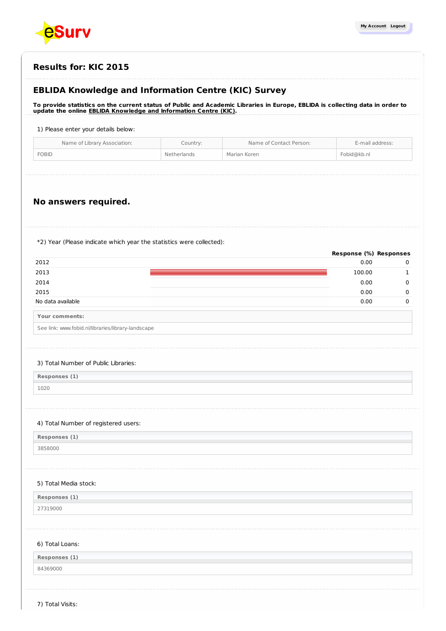

# **Results for: KIC 2015**

# **EBLIDA Knowledge and Information Centre (KIC) Survey**

To provide statistics on the current status of Public and Academic Libraries in Europe, EBLIDA is collecting data in order to **update the online EBLIDA Knowledge and [Information](http://www.eblida.org/activities/kic/) Centre (KIC).**

### 1) Please enter your details below:

| Name of Library Association: | Country:    | Name of Contact Person: | E-mail address: |
|------------------------------|-------------|-------------------------|-----------------|
| <b>FOBID</b>                 | Netherlands | Marian Koren            | Fobid@kb.nl     |
|                              |             |                         |                 |

## **No answers required.**

\*2) Year (Please indicate which year the statistics were collected):

|                   | Response (%) Responses |  |
|-------------------|------------------------|--|
| 2012              | 0.00                   |  |
| 2013              | 100.00                 |  |
| 2014              | 0.00                   |  |
| 2015              | 0.00                   |  |
| No data available | 0.00                   |  |
| Your comments:    |                        |  |

| See link: www.fobid.nl/libraries/library-landscape |
|----------------------------------------------------|

#### 3) Total Number of Public Libraries:

**Responses (1)** 1020

### 4) Total Number of registered users:

**Responses (1)**

## 3858000

### 5) Total Media stock:

**Responses (1)** 27319000

### 6) Total Loans:

| Responses (1) |  |
|---------------|--|
|               |  |

84369000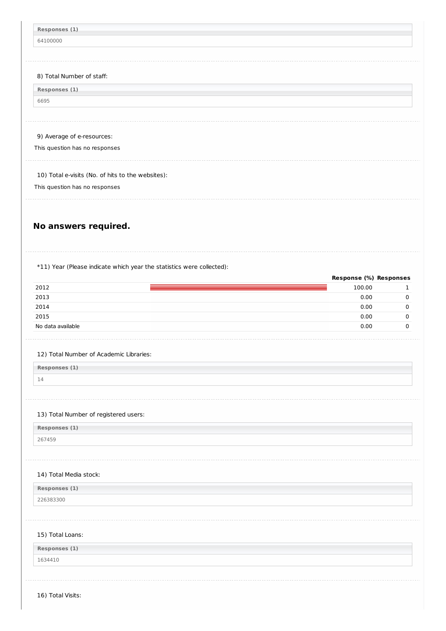| Responses (1)<br>64100000<br>8) Total Number of staff:<br>Responses (1)<br>6695 |                                  |  |
|---------------------------------------------------------------------------------|----------------------------------|--|
|                                                                                 |                                  |  |
|                                                                                 |                                  |  |
|                                                                                 |                                  |  |
|                                                                                 |                                  |  |
|                                                                                 |                                  |  |
|                                                                                 |                                  |  |
|                                                                                 |                                  |  |
|                                                                                 |                                  |  |
|                                                                                 |                                  |  |
| 9) Average of e-resources:                                                      |                                  |  |
| This question has no responses                                                  |                                  |  |
| 10) Total e-visits (No. of hits to the websites):                               |                                  |  |
|                                                                                 |                                  |  |
| This question has no responses                                                  |                                  |  |
|                                                                                 |                                  |  |
|                                                                                 |                                  |  |
| No answers required.                                                            |                                  |  |
|                                                                                 |                                  |  |
|                                                                                 |                                  |  |
| *11) Year (Please indicate which year the statistics were collected):           |                                  |  |
|                                                                                 |                                  |  |
|                                                                                 |                                  |  |
|                                                                                 | Response (%) Responses<br>100.00 |  |
|                                                                                 | 0.00                             |  |
|                                                                                 | 0.00                             |  |
|                                                                                 | 0.00                             |  |
|                                                                                 | 0.00                             |  |
|                                                                                 |                                  |  |
|                                                                                 |                                  |  |
| 12) Total Number of Academic Libraries:                                         |                                  |  |
| 2012<br>2013<br>2014<br>2015<br>No data available<br>Responses (1)              |                                  |  |
| 14                                                                              |                                  |  |
|                                                                                 |                                  |  |
|                                                                                 |                                  |  |
| 13) Total Number of registered users:                                           |                                  |  |
| Responses (1)<br>267459                                                         |                                  |  |

16) Total Visits: